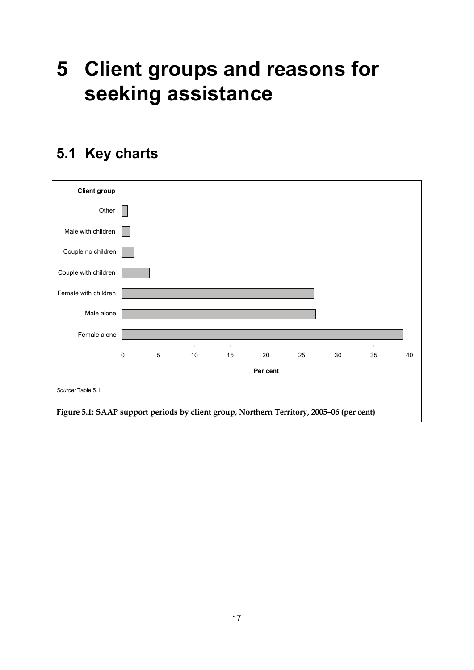## **5 Client groups and reasons for seeking assistance**



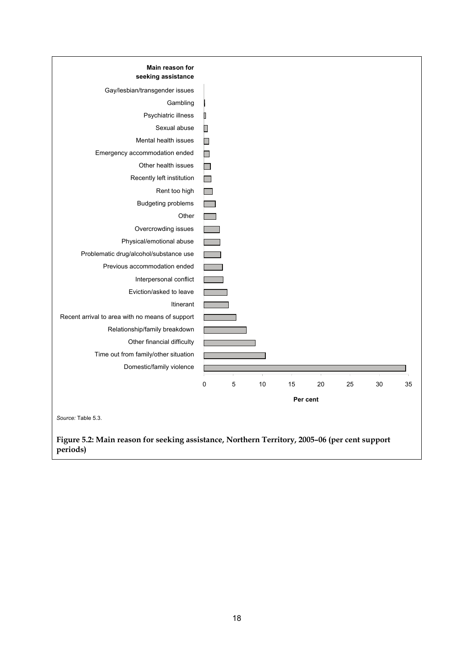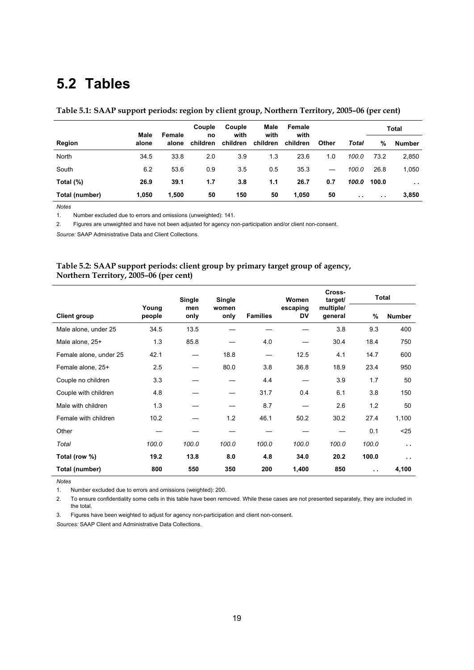## **5.2 Tables**

|  |  | Table 5.1: SAAP support periods: region by client group, Northern Territory, 2005-06 (per cent) |
|--|--|-------------------------------------------------------------------------------------------------|
|  |  |                                                                                                 |

|                | Male  |                 | Couple<br>no<br>children | Couple<br>with<br>children | Male<br>with<br>children | Female<br>with<br>children | Other | Total         | Total         |               |
|----------------|-------|-----------------|--------------------------|----------------------------|--------------------------|----------------------------|-------|---------------|---------------|---------------|
| Region         | alone | Female<br>alone |                          |                            |                          |                            |       |               | %             | Number        |
| North          | 34.5  | 33.8            | 2.0                      | 3.9                        | 1.3                      | 23.6                       | 1.0   | 100.0         | 73.2          | 2,850         |
| South          | 6.2   | 53.6            | 0.9                      | 3.5                        | 0.5                      | 35.3                       |       | 100.0         | 26.8          | 1,050         |
| Total (%)      | 26.9  | 39.1            | 1.7                      | 3.8                        | 1.1                      | 26.7                       | 0.7   | 100.0         | 100.0         | $\sim$ $\sim$ |
| Total (number) | 1,050 | 1,500           | 50                       | 150                        | 50                       | 1,050                      | 50    | $\sim$ $\sim$ | $\sim$ $\sim$ | 3,850         |

*Notes* 

1. Number excluded due to errors and omissions (unweighted): 141.

2. Figures are unweighted and have not been adjusted for agency non-participation and/or client non-consent.

*Source:* SAAP Administrative Data and Client Collections.

## **Table 5.2: SAAP support periods: client group by primary target group of agency, Northern Territory, 2005–06 (per cent)**

|                        |                 | Single      | Single        |                 | Women          | Cross-<br>target/    | Total                |                      |
|------------------------|-----------------|-------------|---------------|-----------------|----------------|----------------------|----------------------|----------------------|
| <b>Client group</b>    | Young<br>people | men<br>only | women<br>only | <b>Families</b> | escaping<br>DV | multiple/<br>general | %                    | <b>Number</b>        |
| Male alone, under 25   | 34.5            | 13.5        |               |                 |                | 3.8                  | 9.3                  | 400                  |
| Male alone, 25+        | 1.3             | 85.8        |               | 4.0             |                | 30.4                 | 18.4                 | 750                  |
| Female alone, under 25 | 42.1            |             | 18.8          | —               | 12.5           | 4.1                  | 14.7                 | 600                  |
| Female alone, 25+      | 2.5             |             | 80.0          | 3.8             | 36.8           | 18.9                 | 23.4                 | 950                  |
| Couple no children     | 3.3             |             |               | 4.4             |                | 3.9                  | 1.7                  | 50                   |
| Couple with children   | 4.8             |             |               | 31.7            | 0.4            | 6.1                  | 3.8                  | 150                  |
| Male with children     | 1.3             |             |               | 8.7             |                | 2.6                  | 1.2                  | 50                   |
| Female with children   | 10.2            |             | 1.2           | 46.1            | 50.2           | 30.2                 | 27.4                 | 1,100                |
| Other                  |                 |             |               |                 |                |                      | 0.1                  | $25$                 |
| Total                  | 100.0           | 100.0       | 100.0         | 100.0           | 100.0          | 100.0                | 100.0                | $\ddot{\phantom{1}}$ |
| Total (row %)          | 19.2            | 13.8        | 8.0           | 4.8             | 34.0           | 20.2                 | 100.0                | $\sim$ $\sim$        |
| Total (number)         | 800             | 550         | 350           | 200             | 1,400          | 850                  | $\ddot{\phantom{1}}$ | 4,100                |

*Notes* 

1. Number excluded due to errors and omissions (weighted): 200.

2. To ensure confidentiality some cells in this table have been removed. While these cases are not presented separately, they are included in the total.

3. Figures have been weighted to adjust for agency non-participation and client non-consent.

*Sources:* SAAP Client and Administrative Data Collections.